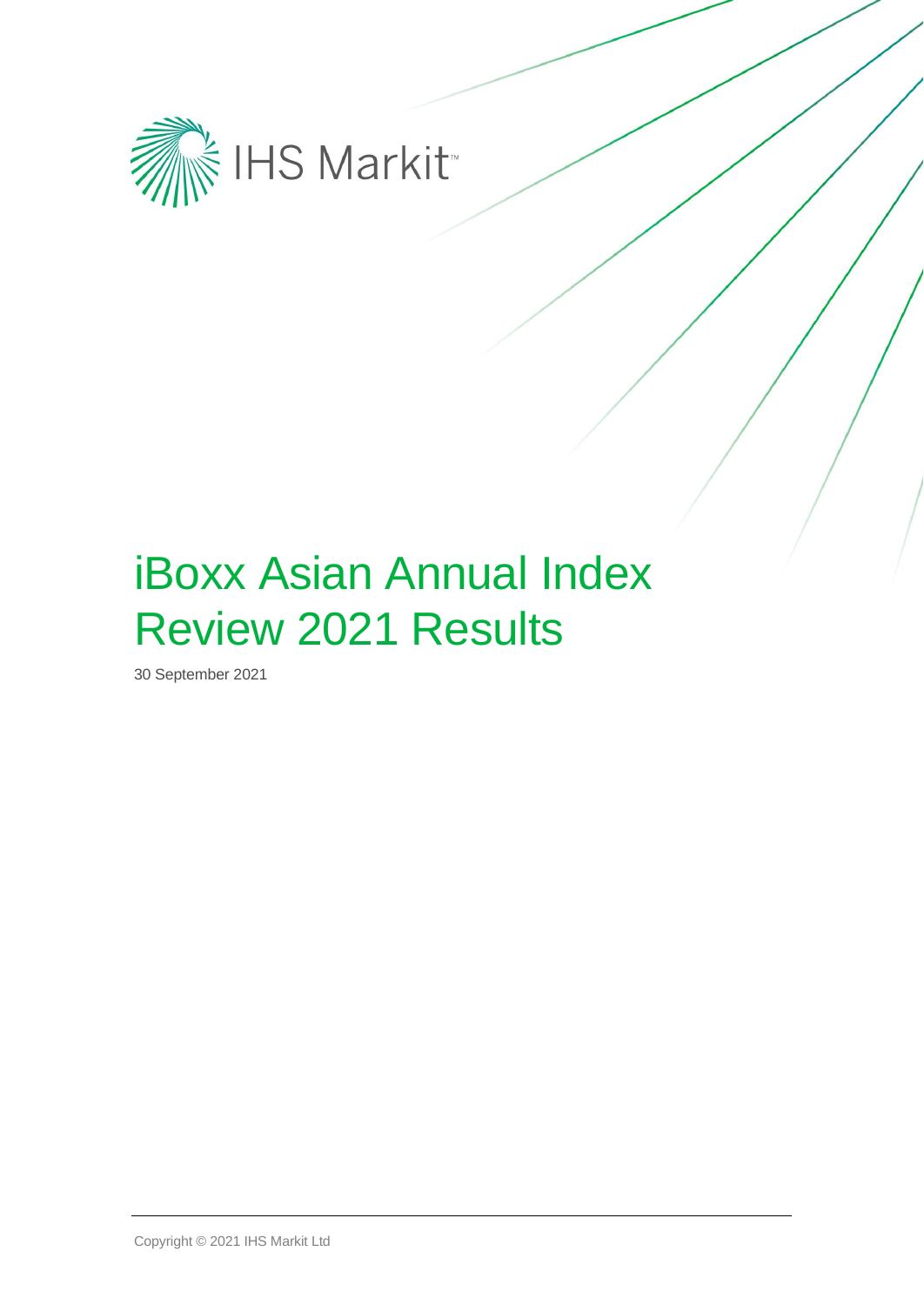

# iBoxx Asian Annual Index Review 2021 Results

30 September 2021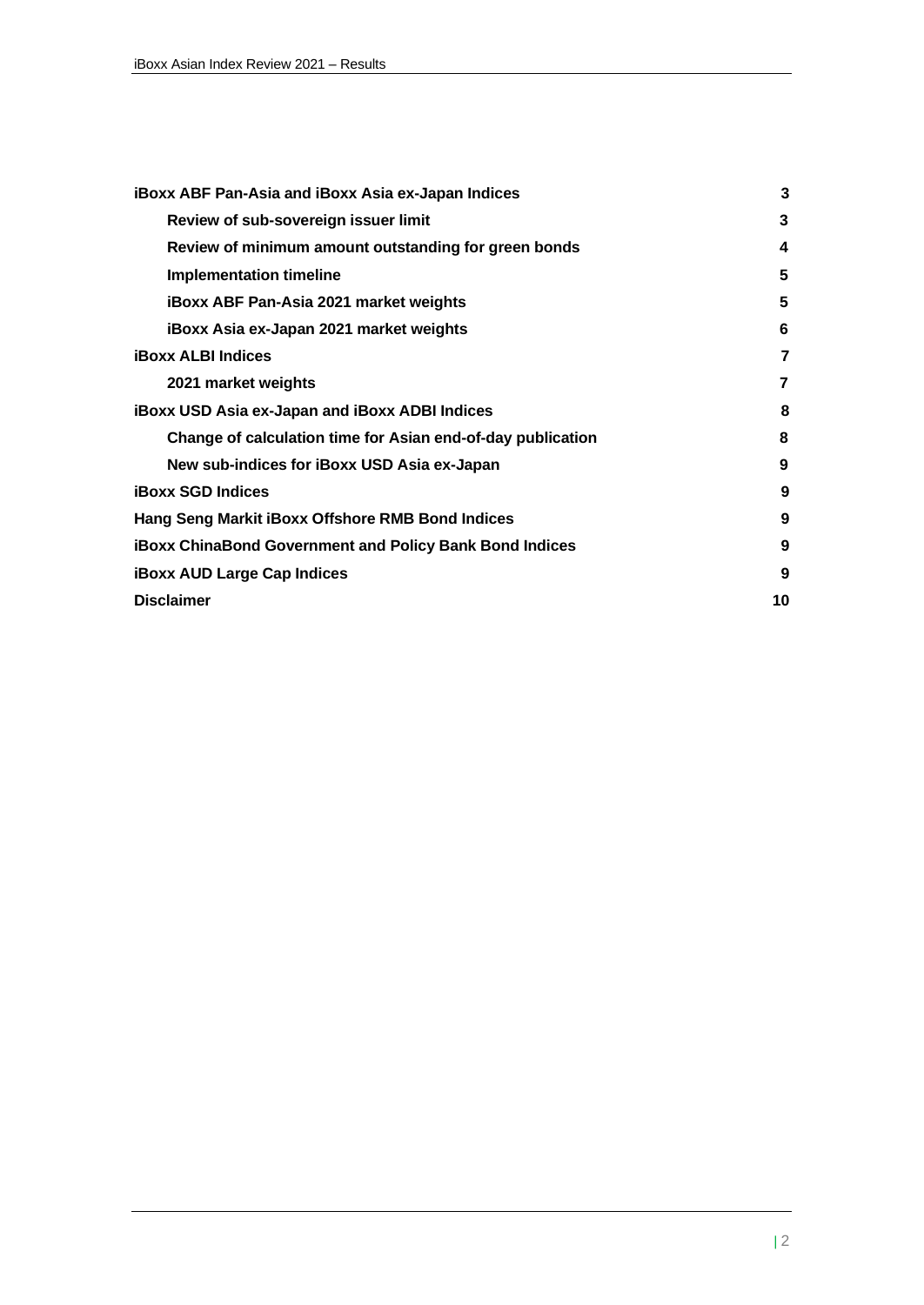| <b>iBoxx ABF Pan-Asia and iBoxx Asia ex-Japan Indices</b>      | 3  |
|----------------------------------------------------------------|----|
| Review of sub-sovereign issuer limit                           | 3  |
| Review of minimum amount outstanding for green bonds           | 4  |
| Implementation timeline                                        | 5  |
| <b>iBoxx ABF Pan-Asia 2021 market weights</b>                  | 5  |
| iBoxx Asia ex-Japan 2021 market weights                        | 6  |
| <b>iBoxx ALBI Indices</b>                                      | 7  |
| 2021 market weights                                            | 7  |
| <b>iBoxx USD Asia ex-Japan and iBoxx ADBI Indices</b>          | 8  |
| Change of calculation time for Asian end-of-day publication    | 8  |
| New sub-indices for iBoxx USD Asia ex-Japan                    | 9  |
| <b>iBoxx SGD Indices</b>                                       | 9  |
| Hang Seng Markit iBoxx Offshore RMB Bond Indices               | 9  |
| <b>iBoxx ChinaBond Government and Policy Bank Bond Indices</b> | 9  |
| <b>iBoxx AUD Large Cap Indices</b>                             | 9  |
| <b>Disclaimer</b>                                              | 10 |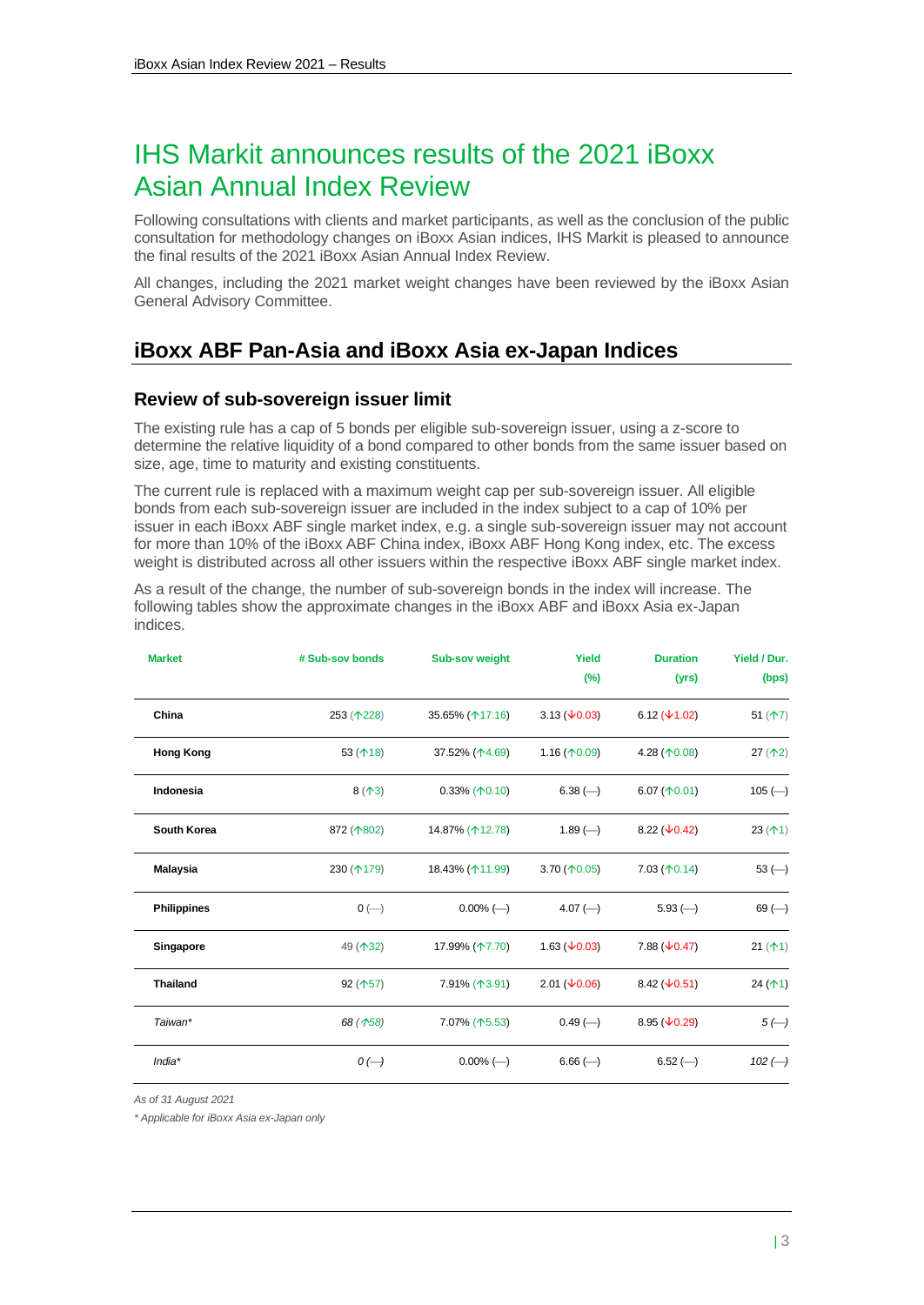## IHS Markit announces results of the 2021 iBoxx Asian Annual Index Review

Following consultations with clients and market participants, as well as the conclusion of the public consultation for methodology changes on iBoxx Asian indices, IHS Markit is pleased to announce the final results of the 2021 iBoxx Asian Annual Index Review.

All changes, including the 2021 market weight changes have been reviewed by the iBoxx Asian General Advisory Committee.

## <span id="page-2-0"></span>**iBoxx ABF Pan-Asia and iBoxx Asia ex-Japan Indices**

#### <span id="page-2-1"></span>**Review of sub-sovereign issuer limit**

The existing rule has a cap of 5 bonds per eligible sub-sovereign issuer, using a z-score to determine the relative liquidity of a bond compared to other bonds from the same issuer based on size, age, time to maturity and existing constituents.

The current rule is replaced with a maximum weight cap per sub-sovereign issuer. All eligible bonds from each sub-sovereign issuer are included in the index subject to a cap of 10% per issuer in each iBoxx ABF single market index, e.g. a single sub-sovereign issuer may not account for more than 10% of the iBoxx ABF China index, iBoxx ABF Hong Kong index, etc. The excess weight is distributed across all other issuers within the respective iBoxx ABF single market index.

As a result of the change, the number of sub-sovereign bonds in the index will increase. The following tables show the approximate changes in the iBoxx ABF and iBoxx Asia ex-Japan indices.

| <b>Market</b>      | # Sub-sov bonds  | <b>Sub-sov weight</b>       | Yield<br>$(\%)$                   | <b>Duration</b><br>(yrs)          | Yield / Dur.<br>(bps) |
|--------------------|------------------|-----------------------------|-----------------------------------|-----------------------------------|-----------------------|
| China              | 253 (1228)       | 35.65% (17.16)              | $3.13 \ (\pm 0.03)$               | 6.12 $(\sqrt{1.02})$              | 51 $($ 17)            |
| <b>Hong Kong</b>   | 53 $($ 18)       | 37.52% (14.69)              | $1.16($ $\uparrow$ 0.09)          | 4.28 $($ 10.08)                   | 27(1)                 |
| Indonesia          | $8($ 13)         | $0.33\%$ ( $\uparrow$ 0.10) | $6.38 \left( \rightarrow \right)$ | 6.07 $($ 10.01)                   | $105 (-)$             |
| South Korea        | 872 (1802)       | 14.87% (112.78)             | $1.89 \left( \rightarrow \right)$ | 8.22 $(\sqrt{0.42})$              | 23(1)                 |
| <b>Malaysia</b>    | 230 (1179)       | 18.43% (11.99)              | 3.70 $($ 10.05)                   | $7.03 \, (\uparrow 0.14)$         | $53$ ( $-$ )          |
| <b>Philippines</b> | $0$ (-)          | $0.00\%$ (-)                | $4.07 \left( \rightarrow \right)$ | $5.93 \left( \rightarrow \right)$ | $69$ (-)              |
| Singapore          | 49 (132)         | 17.99% (17.70)              | 1.63 $(\sqrt{0.03})$              | 7.88 $(\sqrt{0.47})$              | 21(1)                 |
| <b>Thailand</b>    | 92(157)          | 7.91% (13.91)               | $2.01 \ (\sqrt{0.06})$            | 8.42 $(\sqrt{0.51})$              | 24 $($ 1)             |
| Taiwan*            | 68(158)          | 7.07% (个5.53)               | $0.49$ (-)                        | 8.95 $(\sqrt{0.29})$              | $5(-)$                |
| $India*$           | $O(\rightarrow)$ | $0.00\%$ (--)               | $6.66$ (-)                        | $6.52$ (-)                        | $102$ (-)             |

*As of 31 August 2021*

*\* Applicable for iBoxx Asia ex-Japan only*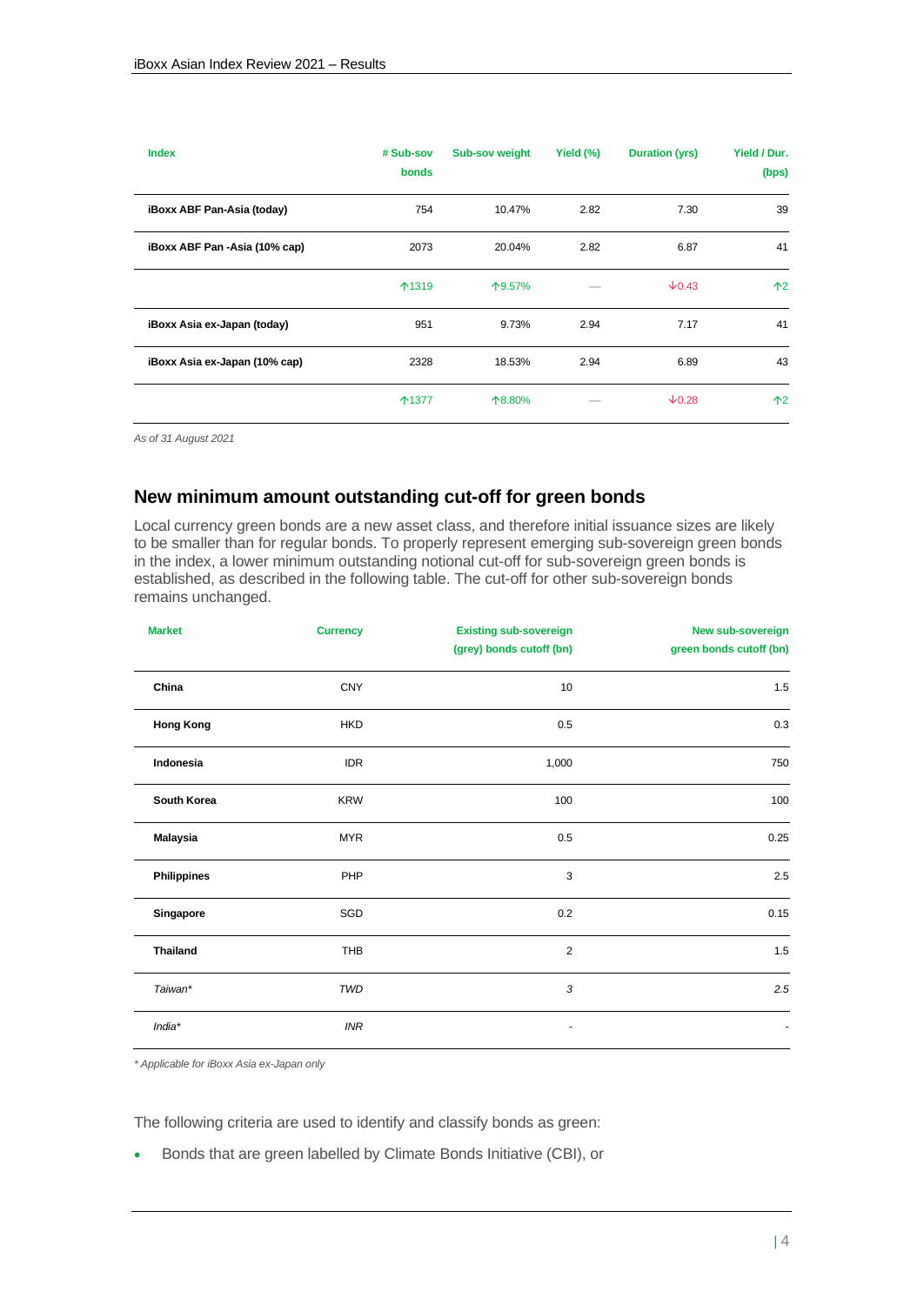| <b>Index</b>                  | # Sub-sov<br>bonds | Sub-sov weight | Yield (%) | Duration (yrs) | Yield / Dur.<br>(bps) |
|-------------------------------|--------------------|----------------|-----------|----------------|-----------------------|
| iBoxx ABF Pan-Asia (today)    | 754                | 10.47%         | 2.82      | 7.30           | 39                    |
| iBoxx ABF Pan -Asia (10% cap) | 2073               | 20.04%         | 2.82      | 6.87           | 41                    |
|                               | 个1319              | 个9.57%         |           | $\sqrt{0.43}$  | $\uparrow$ 2          |
| iBoxx Asia ex-Japan (today)   | 951                | 9.73%          | 2.94      | 7.17           | 41                    |
| iBoxx Asia ex-Japan (10% cap) | 2328               | 18.53%         | 2.94      | 6.89           | 43                    |
|                               | ↑1377              | 个8.80%         |           | $\sqrt{0.28}$  | $\uparrow$ 2          |

*As of 31 August 2021*

#### <span id="page-3-0"></span>**New minimum amount outstanding cut-off for green bonds**

Local currency green bonds are a new asset class, and therefore initial issuance sizes are likely to be smaller than for regular bonds. To properly represent emerging sub-sovereign green bonds in the index, a lower minimum outstanding notional cut-off for sub-sovereign green bonds is established, as described in the following table. The cut-off for other sub-sovereign bonds remains unchanged.

| <b>Market</b>      | <b>Currency</b> | <b>Existing sub-sovereign</b><br>(grey) bonds cutoff (bn) | New sub-sovereign<br>green bonds cutoff (bn) |
|--------------------|-----------------|-----------------------------------------------------------|----------------------------------------------|
| China              | <b>CNY</b>      | 10                                                        | 1.5                                          |
| <b>Hong Kong</b>   | <b>HKD</b>      | 0.5                                                       | 0.3                                          |
| Indonesia          | <b>IDR</b>      | 1,000                                                     | 750                                          |
| South Korea        | <b>KRW</b>      | 100                                                       | 100                                          |
| <b>Malaysia</b>    | <b>MYR</b>      | 0.5                                                       | 0.25                                         |
| <b>Philippines</b> | PHP             | 3                                                         | 2.5                                          |
| Singapore          | SGD             | 0.2                                                       | 0.15                                         |
| <b>Thailand</b>    | <b>THB</b>      | $\overline{2}$                                            | 1.5                                          |
| Taiwan*            | TWD             | 3                                                         | 2.5                                          |
| $India*$           | <b>INR</b>      |                                                           |                                              |

*\* Applicable for iBoxx Asia ex-Japan only*

The following criteria are used to identify and classify bonds as green:

• Bonds that are green labelled by Climate Bonds Initiative (CBI), or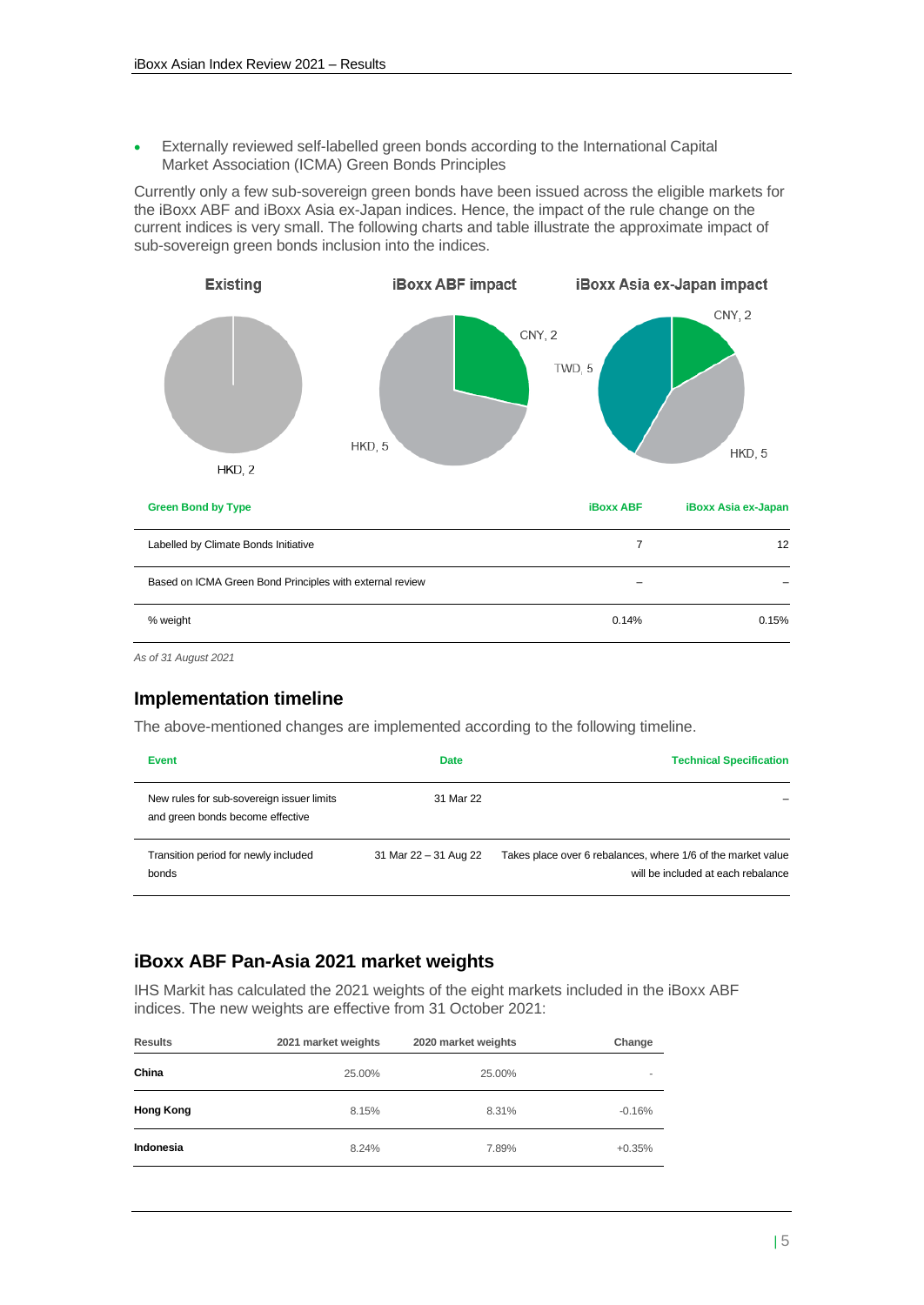• Externally reviewed self-labelled green bonds according to the International Capital Market Association (ICMA) Green Bonds Principles

Currently only a few sub-sovereign green bonds have been issued across the eligible markets for the iBoxx ABF and iBoxx Asia ex-Japan indices. Hence, the impact of the rule change on the current indices is very small. The following charts and table illustrate the approximate impact of sub-sovereign green bonds inclusion into the indices.



*As of 31 August 2021*

#### <span id="page-4-0"></span>**Implementation timeline**

The above-mentioned changes are implemented according to the following timeline.

| Event                                                                         | <b>Date</b>           | <b>Technical Specification</b>                                                                     |
|-------------------------------------------------------------------------------|-----------------------|----------------------------------------------------------------------------------------------------|
| New rules for sub-sovereign issuer limits<br>and green bonds become effective | 31 Mar 22             |                                                                                                    |
| Transition period for newly included<br>bonds                                 | 31 Mar 22 - 31 Aug 22 | Takes place over 6 rebalances, where 1/6 of the market value<br>will be included at each rebalance |

#### <span id="page-4-1"></span>**iBoxx ABF Pan-Asia 2021 market weights**

IHS Markit has calculated the 2021 weights of the eight markets included in the iBoxx ABF indices. The new weights are effective from 31 October 2021:

| <b>Results</b>   | 2021 market weights | 2020 market weights | Change         |
|------------------|---------------------|---------------------|----------------|
| China            | 25.00%              | 25.00%              | $\overline{a}$ |
| <b>Hong Kong</b> | 8.15%               | 8.31%               | $-0.16%$       |
| Indonesia        | 8.24%               | 7.89%               | $+0.35%$       |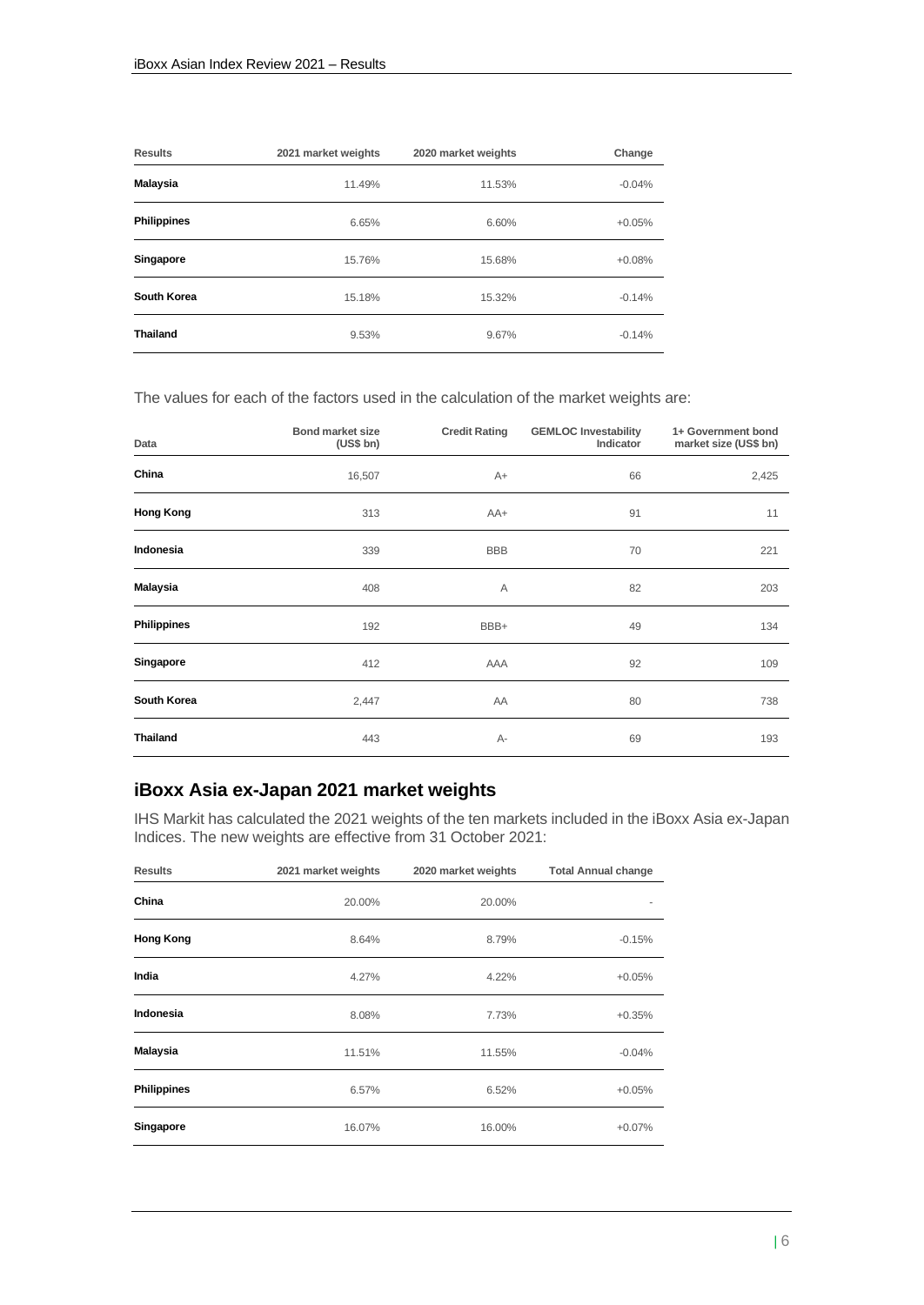| <b>Results</b>     | 2021 market weights | 2020 market weights | Change   |
|--------------------|---------------------|---------------------|----------|
| Malaysia           | 11.49%              | 11.53%              | $-0.04%$ |
| <b>Philippines</b> | 6.65%               | 6.60%               | $+0.05%$ |
| Singapore          | 15.76%              | 15.68%              | $+0.08%$ |
| South Korea        | 15.18%              | 15.32%              | $-0.14%$ |
| <b>Thailand</b>    | 9.53%               | 9.67%               | $-0.14%$ |

The values for each of the factors used in the calculation of the market weights are:

| Data               | <b>Bond market size</b><br>(US\$ bh) | <b>Credit Rating</b> | <b>GEMLOC Investability</b><br>Indicator | 1+ Government bond<br>market size (US\$ bn) |
|--------------------|--------------------------------------|----------------------|------------------------------------------|---------------------------------------------|
| China              | 16,507                               | $A+$                 | 66                                       | 2,425                                       |
| <b>Hong Kong</b>   | 313                                  | AA+                  | 91                                       | 11                                          |
| Indonesia          | 339                                  | <b>BBB</b>           | 70                                       | 221                                         |
| <b>Malaysia</b>    | 408                                  | Α                    | 82                                       | 203                                         |
| <b>Philippines</b> | 192                                  | BBB+                 | 49                                       | 134                                         |
| Singapore          | 412                                  | <b>AAA</b>           | 92                                       | 109                                         |
| South Korea        | 2,447                                | AA                   | 80                                       | 738                                         |
| <b>Thailand</b>    | 443                                  | А-                   | 69                                       | 193                                         |

### <span id="page-5-0"></span>**iBoxx Asia ex-Japan 2021 market weights**

IHS Markit has calculated the 2021 weights of the ten markets included in the iBoxx Asia ex-Japan Indices. The new weights are effective from 31 October 2021:

| <b>Results</b>     | 2021 market weights | 2020 market weights | <b>Total Annual change</b> |
|--------------------|---------------------|---------------------|----------------------------|
| China              | 20.00%              | 20.00%              |                            |
| <b>Hong Kong</b>   | 8.64%               | 8.79%               | $-0.15%$                   |
| India              | 4.27%               | 4.22%               | $+0.05%$                   |
| Indonesia          | 8.08%               | 7.73%               | $+0.35%$                   |
| <b>Malaysia</b>    | 11.51%              | 11.55%              | $-0.04%$                   |
| <b>Philippines</b> | 6.57%               | 6.52%               | $+0.05%$                   |
| Singapore          | 16.07%              | 16.00%              | $+0.07%$                   |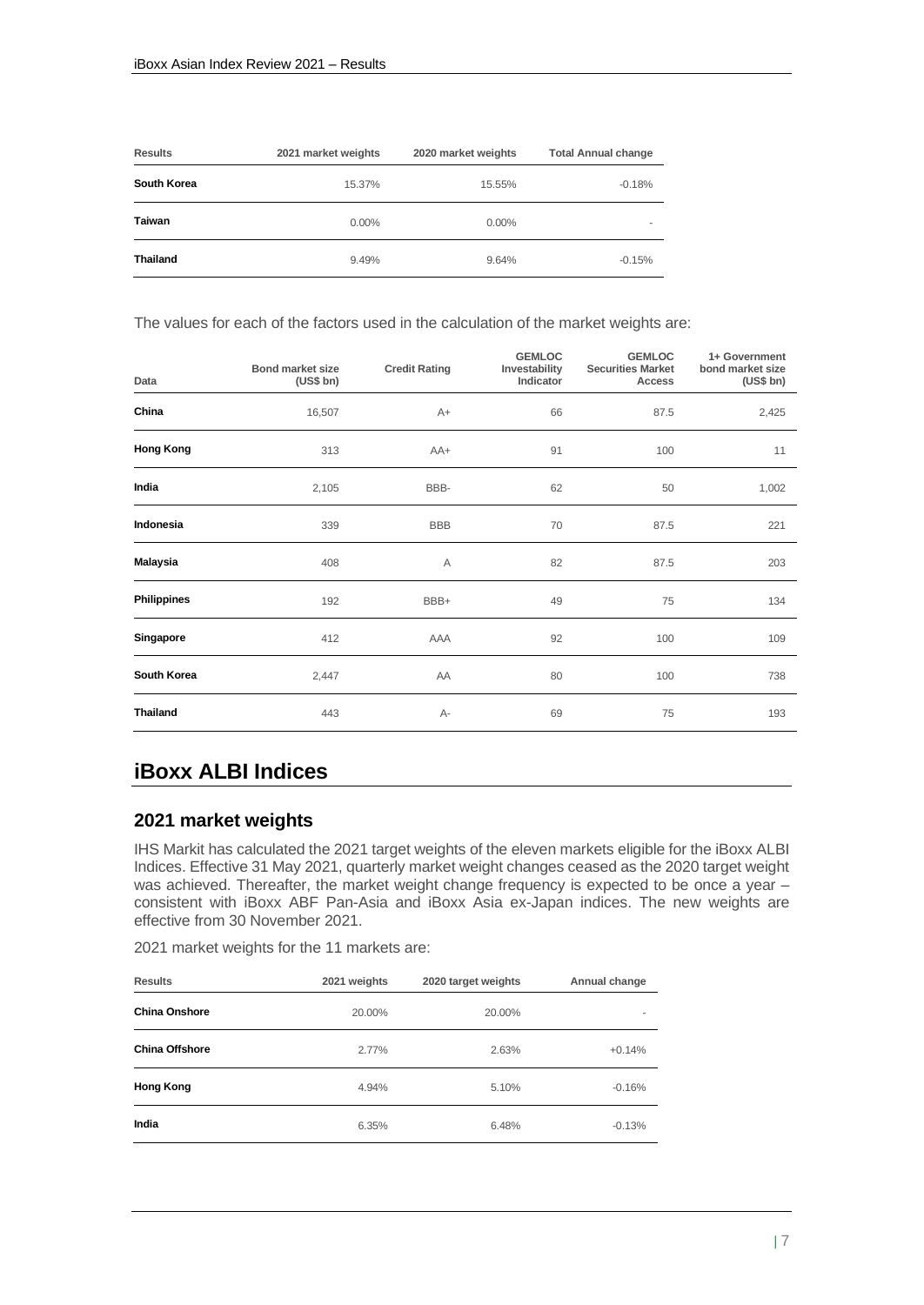| <b>Results</b>     | 2021 market weights | 2020 market weights | <b>Total Annual change</b> |
|--------------------|---------------------|---------------------|----------------------------|
| <b>South Korea</b> | 15.37%              | 15.55%              | $-0.18%$                   |
| <b>Taiwan</b>      | $0.00\%$            | $0.00\%$            |                            |
| <b>Thailand</b>    | 9.49%               | 9.64%               | $-0.15%$                   |

The values for each of the factors used in the calculation of the market weights are:

| Data               | <b>Bond market size</b><br>(US\$ bh) | <b>Credit Rating</b> | <b>GEMLOC</b><br>Investability<br>Indicator | <b>GEMLOC</b><br><b>Securities Market</b><br>Access | 1+ Government<br>bond market size<br>(US\$ bh) |
|--------------------|--------------------------------------|----------------------|---------------------------------------------|-----------------------------------------------------|------------------------------------------------|
| China              | 16,507                               | $A+$                 | 66                                          | 87.5                                                | 2,425                                          |
| <b>Hong Kong</b>   | 313                                  | AA+                  | 91                                          | 100                                                 | 11                                             |
| India              | 2,105                                | BBB-                 | 62                                          | 50                                                  | 1,002                                          |
| Indonesia          | 339                                  | <b>BBB</b>           | 70                                          | 87.5                                                | 221                                            |
| <b>Malaysia</b>    | 408                                  | Α                    | 82                                          | 87.5                                                | 203                                            |
| <b>Philippines</b> | 192                                  | BBB+                 | 49                                          | 75                                                  | 134                                            |
| Singapore          | 412                                  | AAA                  | 92                                          | 100                                                 | 109                                            |
| South Korea        | 2,447                                | AA                   | 80                                          | 100                                                 | 738                                            |
| <b>Thailand</b>    | 443                                  | А-                   | 69                                          | 75                                                  | 193                                            |

## <span id="page-6-0"></span>**iBoxx ALBI Indices**

#### <span id="page-6-1"></span>**2021 market weights**

IHS Markit has calculated the 2021 target weights of the eleven markets eligible for the iBoxx ALBI Indices. Effective 31 May 2021, quarterly market weight changes ceased as the 2020 target weight was achieved. Thereafter, the market weight change frequency is expected to be once a year – consistent with iBoxx ABF Pan-Asia and iBoxx Asia ex-Japan indices. The new weights are effective from 30 November 2021.

2021 market weights for the 11 markets are:

| <b>Results</b>        | 2021 weights | 2020 target weights | Annual change |
|-----------------------|--------------|---------------------|---------------|
| <b>China Onshore</b>  | 20.00%       | 20.00%              | ۰             |
| <b>China Offshore</b> | 2.77%        | 2.63%               | $+0.14%$      |
| <b>Hong Kong</b>      | 4.94%        | 5.10%               | $-0.16%$      |
| India                 | 6.35%        | 6.48%               | $-0.13%$      |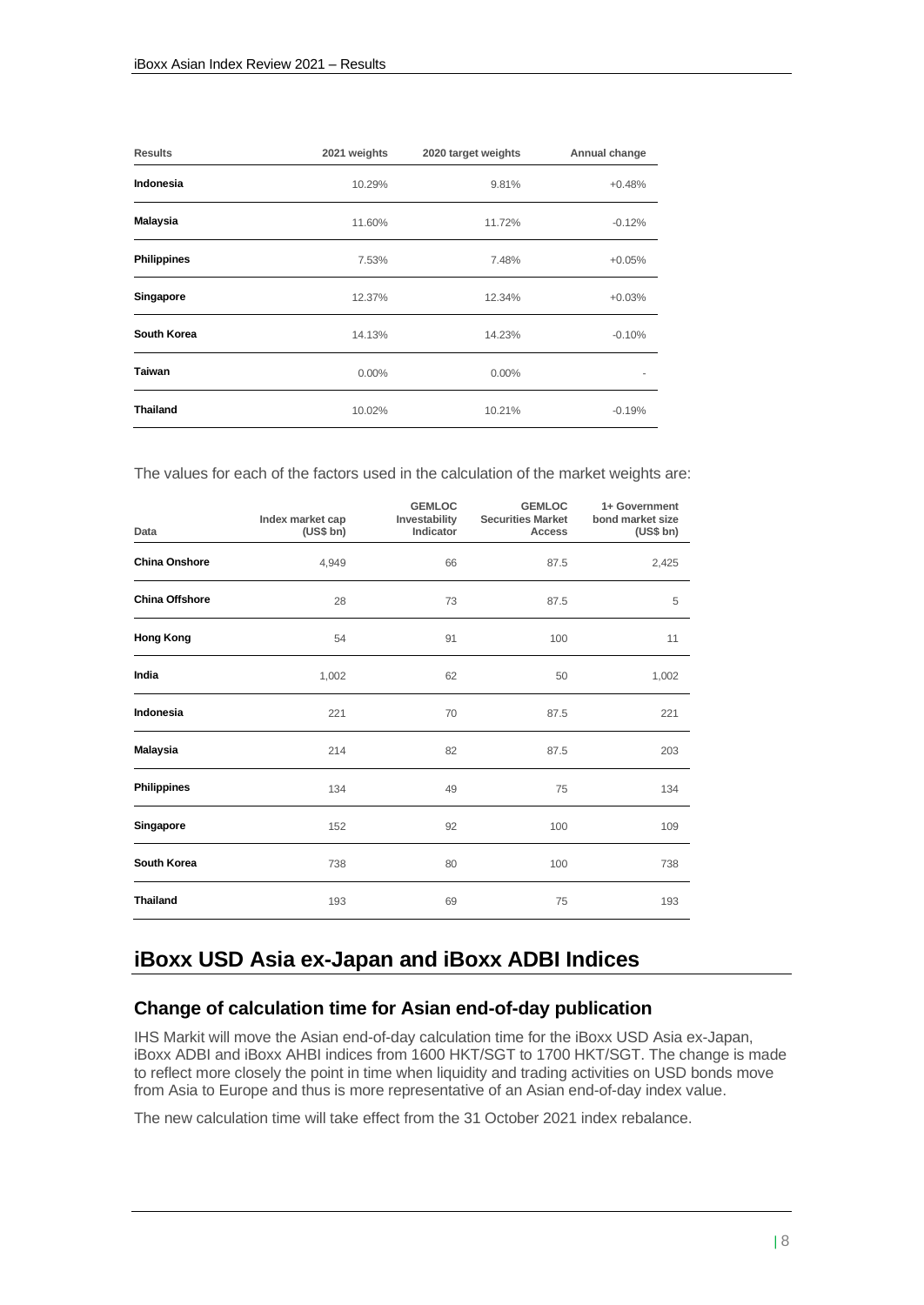| <b>Results</b>     | 2021 weights | 2020 target weights | Annual change |
|--------------------|--------------|---------------------|---------------|
| Indonesia          | 10.29%       | 9.81%               | $+0.48%$      |
| <b>Malaysia</b>    | 11.60%       | 11.72%              | $-0.12%$      |
| <b>Philippines</b> | 7.53%        | 7.48%               | $+0.05%$      |
| Singapore          | 12.37%       | 12.34%              | $+0.03%$      |
| South Korea        | 14.13%       | 14.23%              | $-0.10%$      |
| Taiwan             | $0.00\%$     | 0.00%               |               |
| <b>Thailand</b>    | 10.02%       | 10.21%              | $-0.19%$      |

The values for each of the factors used in the calculation of the market weights are:

| Data                  | Index market cap<br>(US\$ bh) | <b>GEMLOC</b><br>Investability<br>Indicator | <b>GEMLOC</b><br><b>Securities Market</b><br>Access | 1+ Government<br>bond market size<br>(US\$ bh) |
|-----------------------|-------------------------------|---------------------------------------------|-----------------------------------------------------|------------------------------------------------|
| <b>China Onshore</b>  | 4,949                         | 66                                          | 87.5                                                | 2,425                                          |
| <b>China Offshore</b> | 28                            | 73                                          | 87.5                                                | 5                                              |
| <b>Hong Kong</b>      | 54                            | 91                                          | 100                                                 | 11                                             |
| India                 | 1,002                         | 62                                          | 50                                                  | 1,002                                          |
| Indonesia             | 221                           | 70                                          | 87.5                                                | 221                                            |
| <b>Malaysia</b>       | 214                           | 82                                          | 87.5                                                | 203                                            |
| Philippines           | 134                           | 49                                          | 75                                                  | 134                                            |
| Singapore             | 152                           | 92                                          | 100                                                 | 109                                            |
| South Korea           | 738                           | 80                                          | 100                                                 | 738                                            |
| <b>Thailand</b>       | 193                           | 69                                          | 75                                                  | 193                                            |

## <span id="page-7-0"></span>**iBoxx USD Asia ex-Japan and iBoxx ADBI Indices**

#### <span id="page-7-1"></span>**Change of calculation time for Asian end-of-day publication**

IHS Markit will move the Asian end-of-day calculation time for the iBoxx USD Asia ex-Japan, iBoxx ADBI and iBoxx AHBI indices from 1600 HKT/SGT to 1700 HKT/SGT. The change is made to reflect more closely the point in time when liquidity and trading activities on USD bonds move from Asia to Europe and thus is more representative of an Asian end-of-day index value.

The new calculation time will take effect from the 31 October 2021 index rebalance.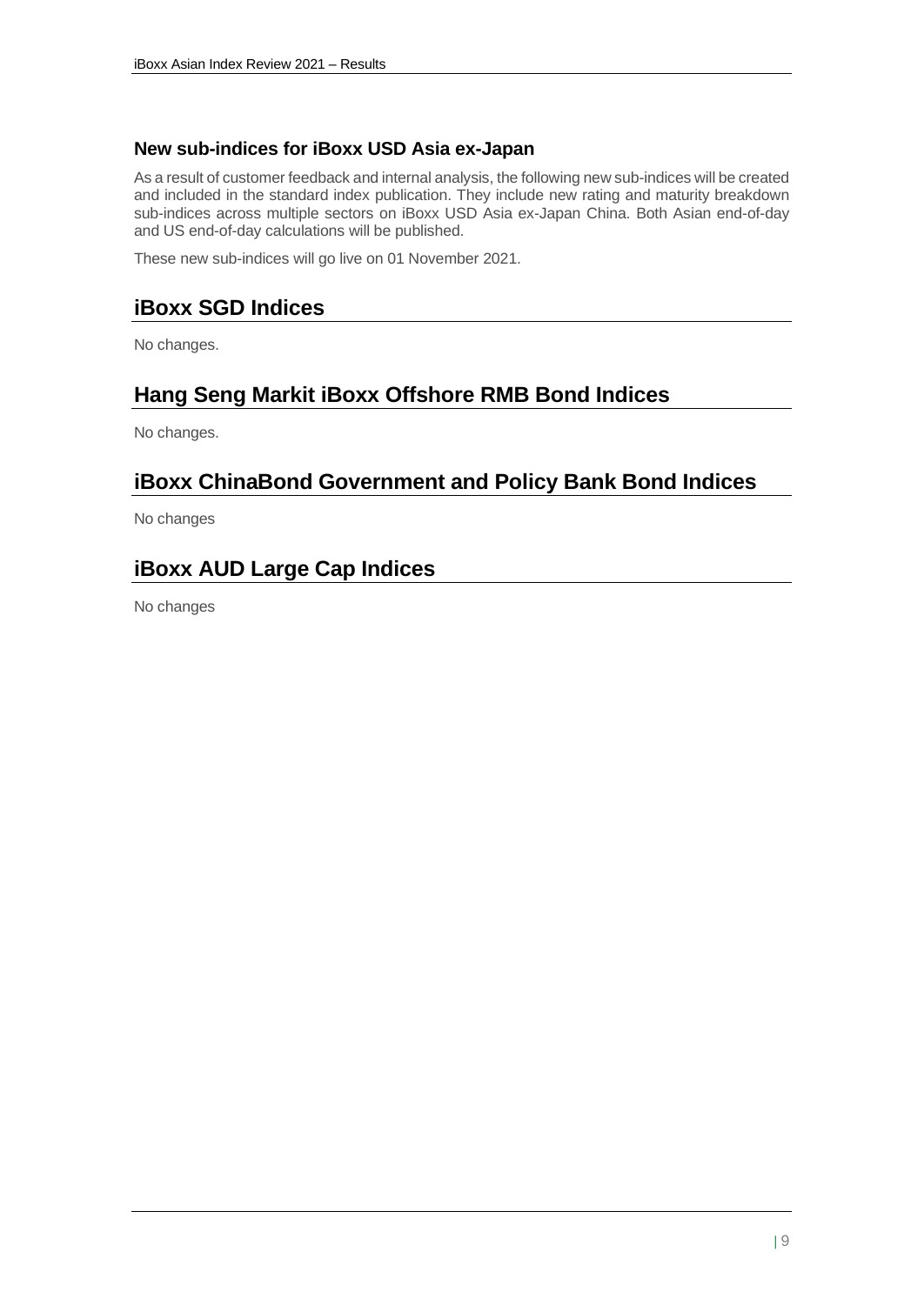#### <span id="page-8-0"></span>**New sub-indices for iBoxx USD Asia ex-Japan**

As a result of customer feedback and internal analysis, the following new sub-indices will be created and included in the standard index publication. They include new rating and maturity breakdown sub-indices across multiple sectors on iBoxx USD Asia ex-Japan China. Both Asian end-of-day and US end-of-day calculations will be published.

These new sub-indices will go live on 01 November 2021.

## <span id="page-8-1"></span>**iBoxx SGD Indices**

No changes.

## <span id="page-8-2"></span>**Hang Seng Markit iBoxx Offshore RMB Bond Indices**

No changes.

## <span id="page-8-3"></span>**iBoxx ChinaBond Government and Policy Bank Bond Indices**

No changes

## <span id="page-8-4"></span>**iBoxx AUD Large Cap Indices**

No changes